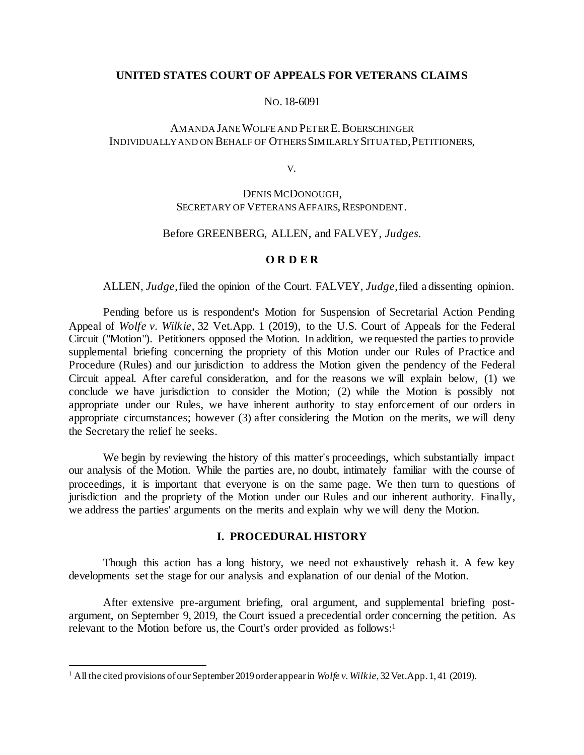## **UNITED STATES COURT OF APPEALS FOR VETERANS CLAIMS**

#### NO. 18-6091

# AMANDA JANE WOLFE AND PETER E. BOERSCHINGER INDIVIDUALLY AND ON BEHALF OF OTHERS SIMILARLY SITUATED,PETITIONERS,

V.

## DENIS MCDONOUGH, SECRETARY OF VETERANS AFFAIRS, RESPONDENT.

## Before GREENBERG, ALLEN, and FALVEY, *Judges.*

## **O R D E R**

ALLEN, *Judge*, filed the opinion of the Court. FALVEY, *Judge*, filed a dissenting opinion.

Pending before us is respondent's Motion for Suspension of Secretarial Action Pending Appeal of *Wolfe v. Wilkie*, 32 Vet.App. 1 (2019), to the U.S. Court of Appeals for the Federal Circuit ("Motion"). Petitioners opposed the Motion. In addition, we requested the parties to provide supplemental briefing concerning the propriety of this Motion under our Rules of Practice and Procedure (Rules) and our jurisdiction to address the Motion given the pendency of the Federal Circuit appeal. After careful consideration, and for the reasons we will explain below, (1) we conclude we have jurisdiction to consider the Motion; (2) while the Motion is possibly not appropriate under our Rules, we have inherent authority to stay enforcement of our orders in appropriate circumstances; however (3) after considering the Motion on the merits, we will deny the Secretary the relief he seeks.

We begin by reviewing the history of this matter's proceedings, which substantially impact our analysis of the Motion. While the parties are, no doubt, intimately familiar with the course of proceedings, it is important that everyone is on the same page. We then turn to questions of jurisdiction and the propriety of the Motion under our Rules and our inherent authority. Finally, we address the parties' arguments on the merits and explain why we will deny the Motion.

### **I. PROCEDURAL HISTORY**

Though this action has a long history, we need not exhaustively rehash it. A few key developments set the stage for our analysis and explanation of our denial of the Motion.

After extensive pre-argument briefing, oral argument, and supplemental briefing postargument, on September 9, 2019, the Court issued a precedential order concerning the petition. As relevant to the Motion before us, the Court's order provided as follows:<sup>1</sup>

<sup>&</sup>lt;sup>1</sup> All the cited provisions of our September 2019 order appear in *Wolfe v. Wilkie*, 32 Vet.App. 1, 41 (2019).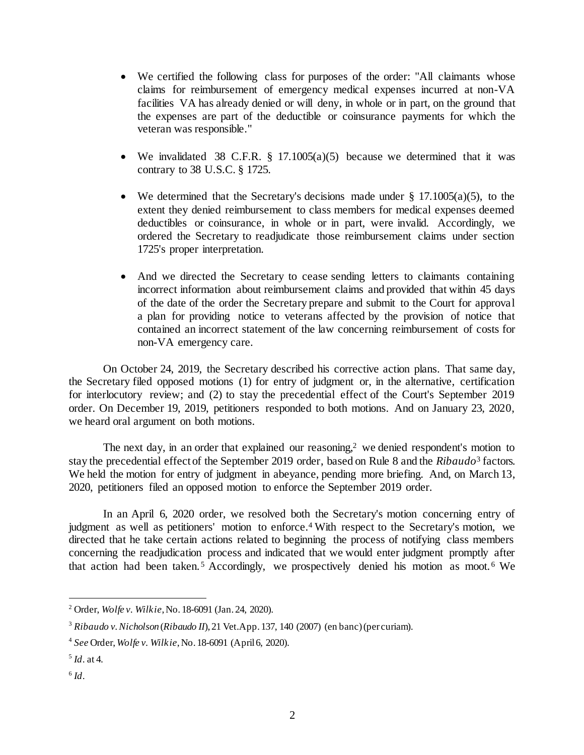- We certified the following class for purposes of the order: "All claimants whose claims for reimbursement of emergency medical expenses incurred at non-VA facilities VA has already denied or will deny, in whole or in part, on the ground that the expenses are part of the deductible or coinsurance payments for which the veteran was responsible."
- We invalidated 38 C.F.R.  $\S$  17.1005(a)(5) because we determined that it was contrary to 38 U.S.C. § 1725.
- We determined that the Secretary's decisions made under  $\S$  17.1005(a)(5), to the extent they denied reimbursement to class members for medical expenses deemed deductibles or coinsurance, in whole or in part, were invalid. Accordingly, we ordered the Secretary to readjudicate those reimbursement claims under section 1725's proper interpretation.
- And we directed the Secretary to cease sending letters to claimants containing incorrect information about reimbursement claims and provided that within 45 days of the date of the order the Secretary prepare and submit to the Court for approval a plan for providing notice to veterans affected by the provision of notice that contained an incorrect statement of the law concerning reimbursement of costs for non-VA emergency care.

On October 24, 2019, the Secretary described his corrective action plans. That same day, the Secretary filed opposed motions (1) for entry of judgment or, in the alternative, certification for interlocutory review; and (2) to stay the precedential effect of the Court's September 2019 order. On December 19, 2019, petitioners responded to both motions. And on January 23, 2020, we heard oral argument on both motions.

The next day, in an order that explained our reasoning, $2 \le$  we denied respondent's motion to stay the precedential effect of the September 2019 order, based on Rule 8 and the *Ribaudo*<sup>3</sup> factors. We held the motion for entry of judgment in abeyance, pending more briefing. And, on March 13, 2020, petitioners filed an opposed motion to enforce the September 2019 order.

In an April 6, 2020 order, we resolved both the Secretary's motion concerning entry of judgment as well as petitioners' motion to enforce.<sup>4</sup> With respect to the Secretary's motion, we directed that he take certain actions related to beginning the process of notifying class members concerning the readjudication process and indicated that we would enter judgment promptly after that action had been taken.<sup>5</sup> Accordingly, we prospectively denied his motion as moot.<sup>6</sup> We

<sup>2</sup> Order, *Wolfe v. Wilkie*, No. 18-6091 (Jan. 24, 2020).

<sup>3</sup> *Ribaudo v. Nicholson* (*Ribaudo II*), 21 Vet.App. 137, 140 (2007) (en banc) (per curiam).

<sup>4</sup> *See* Order, *Wolfe v. Wilkie*, No. 18-6091 (April 6, 2020).

<sup>5</sup> *Id*. at 4.

<sup>6</sup> *Id*.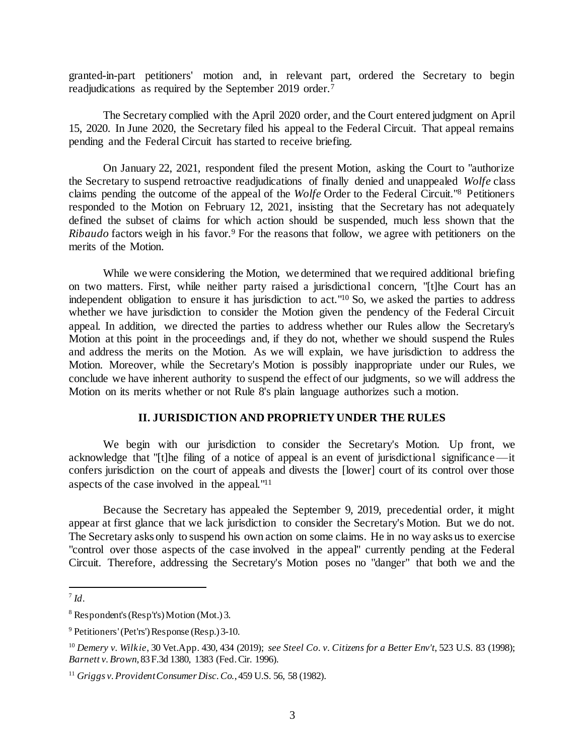granted-in-part petitioners' motion and, in relevant part, ordered the Secretary to begin readjudications as required by the September 2019 order.<sup>7</sup>

The Secretary complied with the April 2020 order, and the Court entered judgment on April 15, 2020. In June 2020, the Secretary filed his appeal to the Federal Circuit. That appeal remains pending and the Federal Circuit has started to receive briefing.

On January 22, 2021, respondent filed the present Motion, asking the Court to "authorize the Secretary to suspend retroactive readjudications of finally denied and unappealed *Wolfe* class claims pending the outcome of the appeal of the *Wolfe* Order to the Federal Circuit."<sup>8</sup> Petitioners responded to the Motion on February 12, 2021, insisting that the Secretary has not adequately defined the subset of claims for which action should be suspended, much less shown that the *Ribaudo* factors weigh in his favor.<sup>9</sup> For the reasons that follow, we agree with petitioners on the merits of the Motion.

While we were considering the Motion, we determined that we required additional briefing on two matters. First, while neither party raised a jurisdictional concern, "[t]he Court has an independent obligation to ensure it has jurisdiction to act." <sup>10</sup> So, we asked the parties to address whether we have jurisdiction to consider the Motion given the pendency of the Federal Circuit appeal. In addition, we directed the parties to address whether our Rules allow the Secretary's Motion at this point in the proceedings and, if they do not, whether we should suspend the Rules and address the merits on the Motion. As we will explain, we have jurisdiction to address the Motion. Moreover, while the Secretary's Motion is possibly inappropriate under our Rules, we conclude we have inherent authority to suspend the effect of our judgments, so we will address the Motion on its merits whether or not Rule 8's plain language authorizes such a motion.

## **II. JURISDICTION AND PROPRIETY UNDER THE RULES**

We begin with our jurisdiction to consider the Secretary's Motion. Up front, we acknowledge that "[t]he filing of a notice of appeal is an event of jurisdictional significance—it confers jurisdiction on the court of appeals and divests the [lower] court of its control over those aspects of the case involved in the appeal." 11

Because the Secretary has appealed the September 9, 2019, precedential order, it might appear at first glance that we lack jurisdiction to consider the Secretary's Motion. But we do not. The Secretary asks only to suspend his own action on some claims. He in no way asks us to exercise "control over those aspects of the case involved in the appeal" currently pending at the Federal Circuit. Therefore, addressing the Secretary's Motion poses no "danger" that both we and the

<sup>7</sup> *Id*.

 $8$  Respondent's (Resp't's) Motion (Mot.) 3.

 $9$  Petitioners' (Pet'rs') Response (Resp.) 3-10.

<sup>10</sup> *Demery v. Wilkie*, 30 Vet.App. 430, 434 (2019); *see Steel Co. v. Citizens for a Better Env't*, 523 U.S. 83 (1998); *Barnett v. Brown*, 83 F.3d 1380, 1383 (Fed. Cir. 1996).

<sup>11</sup> *Griggs v. Provident Consumer Disc. Co.*, 459 U.S. 56, 58 (1982).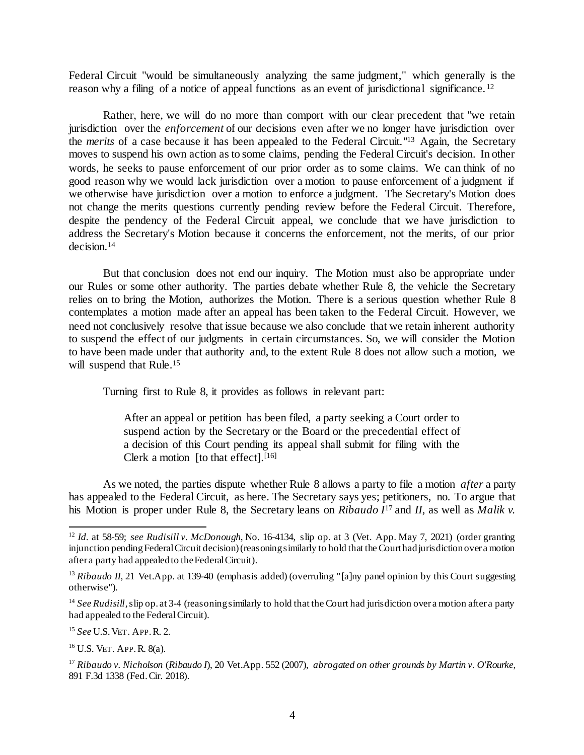Federal Circuit "would be simultaneously analyzing the same judgment," which generally is the reason why a filing of a notice of appeal functions as an event of jurisdictional significance. <sup>12</sup>

Rather, here, we will do no more than comport with our clear precedent that "we retain jurisdiction over the *enforcement* of our decisions even after we no longer have jurisdiction over the *merits* of a case because it has been appealed to the Federal Circuit." <sup>13</sup> Again, the Secretary moves to suspend his own action as to some claims, pending the Federal Circuit's decision. In other words, he seeks to pause enforcement of our prior order as to some claims. We can think of no good reason why we would lack jurisdiction over a motion to pause enforcement of a judgment if we otherwise have jurisdiction over a motion to enforce a judgment. The Secretary's Motion does not change the merits questions currently pending review before the Federal Circuit. Therefore, despite the pendency of the Federal Circuit appeal, we conclude that we have jurisdiction to address the Secretary's Motion because it concerns the enforcement, not the merits, of our prior decision.<sup>14</sup>

But that conclusion does not end our inquiry. The Motion must also be appropriate under our Rules or some other authority. The parties debate whether Rule 8, the vehicle the Secretary relies on to bring the Motion, authorizes the Motion. There is a serious question whether Rule 8 contemplates a motion made after an appeal has been taken to the Federal Circuit. However, we need not conclusively resolve that issue because we also conclude that we retain inherent authority to suspend the effect of our judgments in certain circumstances. So, we will consider the Motion to have been made under that authority and, to the extent Rule 8 does not allow such a motion, we will suspend that Rule.<sup>15</sup>

Turning first to Rule 8, it provides as follows in relevant part:

After an appeal or petition has been filed, a party seeking a Court order to suspend action by the Secretary or the Board or the precedential effect of a decision of this Court pending its appeal shall submit for filing with the Clerk a motion [to that effect]. $[16]$ 

As we noted, the parties dispute whether Rule 8 allows a party to file a motion *after* a party has appealed to the Federal Circuit, as here. The Secretary says yes; petitioners, no. To argue that his Motion is proper under Rule 8, the Secretary leans on *Ribaudo I*<sup>17</sup> and *II*, as well as *Malik v.* 

<sup>12</sup> *Id.* at 58-59; *see Rudisill v. McDonough*, No. 16-4134, slip op. at 3 (Vet. App. May 7, 2021) (order granting injunction pending Federal Circuit decision) (reasoning similarly to hold that the Court had jurisdiction over a motion after a party had appealed to the Federal Circuit).

<sup>&</sup>lt;sup>13</sup> *Ribaudo II*, 21 Vet.App. at 139-40 (emphasis added) (overruling "[a]ny panel opinion by this Court suggesting otherwise").

<sup>&</sup>lt;sup>14</sup> See Rudisill, slip op. at 3-4 (reasoning similarly to hold that the Court had jurisdiction over a motion after a party had appealed to the Federal Circuit).

<sup>15</sup> *See* U.S.VET. APP.R. 2.

<sup>16</sup> U.S. VET. APP.R. 8(a).

<sup>17</sup> *Ribaudo v. Nicholson* (*Ribaudo I*), 20 Vet.App. 552 (2007), *abrogated on other grounds by Martin v. O'Rourke*, 891 F.3d 1338 (Fed. Cir. 2018).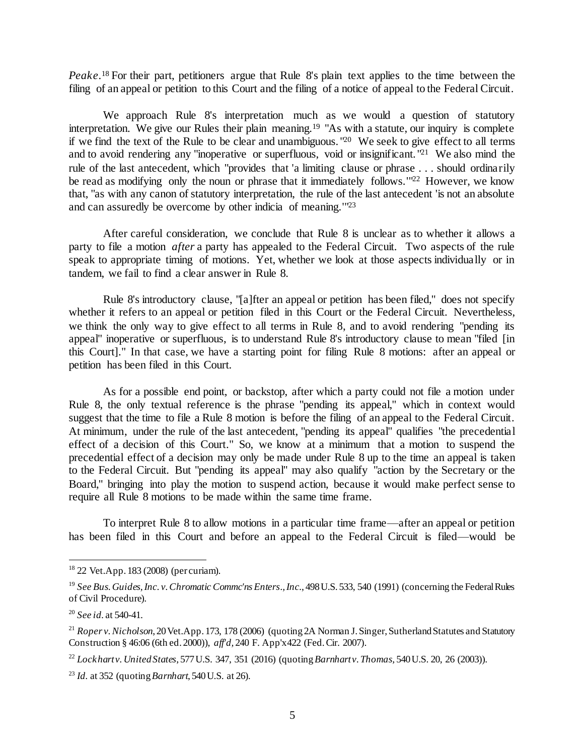*Peake*. <sup>18</sup> For their part, petitioners argue that Rule 8's plain text applies to the time between the filing of an appeal or petition to this Court and the filing of a notice of appeal to the Federal Circuit.

We approach Rule 8's interpretation much as we would a question of statutory interpretation. We give our Rules their plain meaning.<sup>19</sup> "As with a statute, our inquiry is complete if we find the text of the Rule to be clear and unambiguous. " <sup>20</sup> We seek to give effect to all terms and to avoid rendering any "inoperative or superfluous, void or insignificant. " <sup>21</sup> We also mind the rule of the last antecedent, which "provides that 'a limiting clause or phrase . . . should ordinarily be read as modifying only the noun or phrase that it immediately follows.<sup>1922</sup> However, we know that, "as with any canon of statutory interpretation, the rule of the last antecedent 'is not an absolute and can assuredly be overcome by other indicia of meaning.'" 23

After careful consideration, we conclude that Rule 8 is unclear as to whether it allows a party to file a motion *after* a party has appealed to the Federal Circuit. Two aspects of the rule speak to appropriate timing of motions. Yet, whether we look at those aspects individually or in tandem, we fail to find a clear answer in Rule 8.

Rule 8's introductory clause, "[a]fter an appeal or petition has been filed," does not specify whether it refers to an appeal or petition filed in this Court or the Federal Circuit. Nevertheless, we think the only way to give effect to all terms in Rule 8, and to avoid rendering "pending its appeal" inoperative or superfluous, is to understand Rule 8's introductory clause to mean "filed [in this Court]." In that case, we have a starting point for filing Rule 8 motions: after an appeal or petition has been filed in this Court.

As for a possible end point, or backstop, after which a party could not file a motion under Rule 8, the only textual reference is the phrase "pending its appeal," which in context would suggest that the time to file a Rule 8 motion is before the filing of an appeal to the Federal Circuit. At minimum, under the rule of the last antecedent, "pending its appeal" qualifies "the precedential effect of a decision of this Court." So, we know at a minimum that a motion to suspend the precedential effect of a decision may only be made under Rule 8 up to the time an appeal is taken to the Federal Circuit. But "pending its appeal" may also qualify "action by the Secretary or the Board," bringing into play the motion to suspend action, because it would make perfect sense to require all Rule 8 motions to be made within the same time frame.

To interpret Rule 8 to allow motions in a particular time frame—after an appeal or petition has been filed in this Court and before an appeal to the Federal Circuit is filed—would be

<sup>18</sup> 22 Vet.App. 183 (2008) (per curiam).

<sup>&</sup>lt;sup>19</sup> See Bus. Guides, Inc. v. Chromatic Commc'ns Enters., Inc., 498 U.S. 533, 540 (1991) (concerning the Federal Rules of Civil Procedure).

<sup>20</sup> *See id.* at 540-41.

<sup>21</sup> *Roper v. Nicholson*, 20 Vet.App. 173, 178 (2006) (quoting 2A Norman J. Singer, Sutherland Statutes and Statutory Construction § 46:06 (6th ed. 2000)), *aff'd,* 240 F. App'x 422 (Fed. Cir. 2007).

<sup>22</sup> *Lockhart v. United States*, 577 U.S. 347, 351 (2016) (quoting *Barnhart v. Thomas,* 540 U.S. 20, 26 (2003)).

<sup>23</sup> *Id.* at 352 (quoting *Barnhart*, 540 U.S. at 26).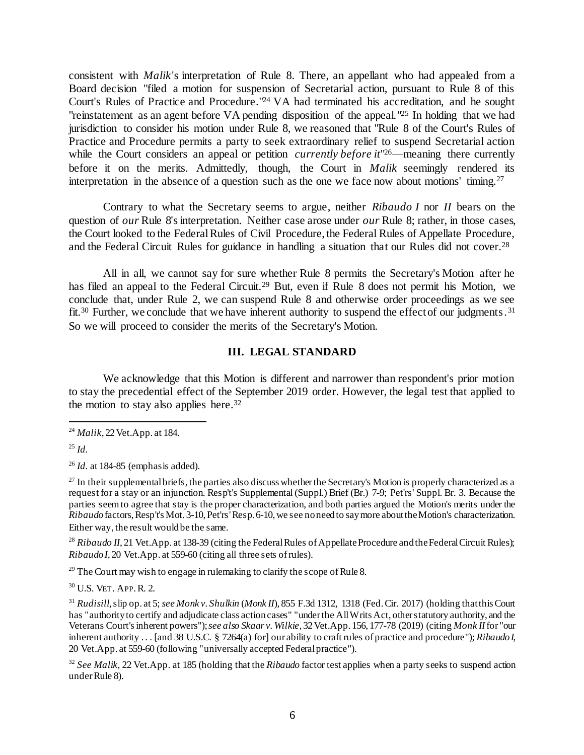consistent with *Malik*'s interpretation of Rule 8. There, an appellant who had appealed from a Board decision "filed a motion for suspension of Secretarial action, pursuant to Rule 8 of this Court's Rules of Practice and Procedure."<sup>24</sup> VA had terminated his accreditation, and he sought "reinstatement as an agent before VA pending disposition of the appeal." <sup>25</sup> In holding that we had jurisdiction to consider his motion under Rule 8, we reasoned that "Rule 8 of the Court's Rules of Practice and Procedure permits a party to seek extraordinary relief to suspend Secretarial action while the Court considers an appeal or petition *currently before it*<sup>"26</sup>—meaning there currently before it on the merits. Admittedly, though, the Court in *Malik* seemingly rendered its interpretation in the absence of a question such as the one we face now about motions' timing.<sup>27</sup>

Contrary to what the Secretary seems to argue, neither *Ribaudo I* nor *II* bears on the question of *our* Rule 8's interpretation. Neither case arose under *our* Rule 8; rather, in those cases, the Court looked to the Federal Rules of Civil Procedure, the Federal Rules of Appellate Procedure, and the Federal Circuit Rules for guidance in handling a situation that our Rules did not cover.<sup>28</sup>

All in all, we cannot say for sure whether Rule 8 permits the Secretary's Motion after he has filed an appeal to the Federal Circuit.<sup>29</sup> But, even if Rule 8 does not permit his Motion, we conclude that, under Rule 2, we can suspend Rule 8 and otherwise order proceedings as we see fit.<sup>30</sup> Further, we conclude that we have inherent authority to suspend the effect of our judgments.<sup>31</sup> So we will proceed to consider the merits of the Secretary's Motion.

## **III. LEGAL STANDARD**

We acknowledge that this Motion is different and narrower than respondent's prior motion to stay the precedential effect of the September 2019 order. However, the legal test that applied to the motion to stay also applies here. 32

#### <sup>25</sup> *Id.*

l

<sup>26</sup> *Id.* at 184-85 (emphasis added).

<sup>28</sup> *Ribaudo II*, 21 Vet.App. at 138-39 (citing the Federal Rules of Appellate Procedure and the Federal Circuit Rules); *Ribaudo I*, 20 Vet.App. at 559-60 (citing all three sets of rules).

 $29$  The Court may wish to engage in rulemaking to clarify the scope of Rule 8.

<sup>30</sup> U.S. VET. APP.R. 2.

<sup>31</sup> *Rudisill*, slip op. at 5; *see Monk v. Shulkin* (*Monk II*), 855 F.3d 1312, 1318 (Fed. Cir. 2017) (holding that this Court has "authority to certify and adjudicate class action cases" "under the All Writs Act, other statutory authority, and the Veterans Court's inherent powers"); *see also Skaar v. Wilkie*, 32 Vet.App. 156, 177-78 (2019) (citing *Monk II*for "our inherent authority . . . [and 38 U.S.C. § 7264(a) for] our ability to craft rules of practice and procedure"); *Ribaudo I*, 20 Vet.App. at 559-60 (following "universally accepted Federal practice").

<sup>32</sup> *See Malik*, 22 Vet.App. at 185 (holding that the *Ribaudo* factor test applies when a party seeks to suspend action under Rule 8).

<sup>24</sup> *Malik*, 22 Vet.App. at 184.

 $27$  In their supplemental briefs, the parties also discuss whether the Secretary's Motion is properly characterized as a request for a stay or an injunction. Resp't's Supplemental (Suppl.) Brief (Br.) 7-9; Pet'rs' Suppl. Br. 3. Because the parties seem to agree that stay is the proper characterization, and both parties argued the Motion's merits under the *Ribaudo* factors, Resp't's Mot. 3-10, Pet'rs' Resp. 6-10, we see no need to say more about the Motion's characterization. Either way, the result would be the same.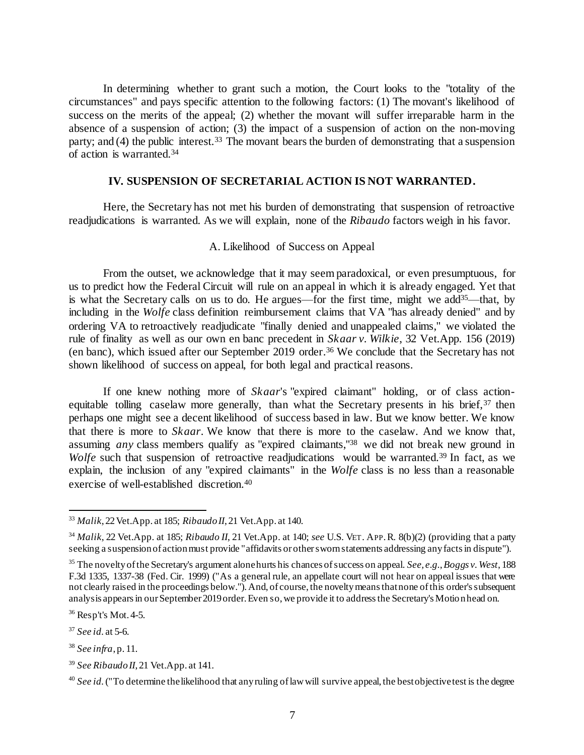In determining whether to grant such a motion, the Court looks to the "totality of the circumstances" and pays specific attention to the following factors: (1) The movant's likelihood of success on the merits of the appeal; (2) whether the movant will suffer irreparable harm in the absence of a suspension of action; (3) the impact of a suspension of action on the non-moving party; and (4) the public interest.<sup>33</sup> The movant bears the burden of demonstrating that a suspension of action is warranted.<sup>34</sup>

# **IV. SUSPENSION OF SECRETARIAL ACTION IS NOT WARRANTED.**

Here, the Secretary has not met his burden of demonstrating that suspension of retroactive readjudications is warranted. As we will explain, none of the *Ribaudo* factors weigh in his favor.

## A. Likelihood of Success on Appeal

From the outset, we acknowledge that it may seem paradoxical, or even presumptuous, for us to predict how the Federal Circuit will rule on an appeal in which it is already engaged. Yet that is what the Secretary calls on us to do. He argues—for the first time, might we add<sup>35</sup>—that, by including in the *Wolfe* class definition reimbursement claims that VA "has already denied" and by ordering VA to retroactively readjudicate "finally denied and unappealed claims," we violated the rule of finality as well as our own en banc precedent in *Skaar v. Wilkie*, 32 Vet.App. 156 (2019) (en banc), which issued after our September 2019 order. <sup>36</sup> We conclude that the Secretary has not shown likelihood of success on appeal, for both legal and practical reasons.

If one knew nothing more of *Skaar*'s "expired claimant" holding, or of class actionequitable tolling caselaw more generally, than what the Secretary presents in his brief, <sup>37</sup> then perhaps one might see a decent likelihood of success based in law. But we know better. We know that there is more to *Skaar*. We know that there is more to the caselaw. And we know that, assuming *any* class members qualify as "expired claimants,"<sup>38</sup> we did not break new ground in *Wolfe* such that suspension of retroactive readjudications would be warranted.<sup>39</sup> In fact, as we explain, the inclusion of any "expired claimants" in the *Wolfe* class is no less than a reasonable exercise of well-established discretion.<sup>40</sup>

<sup>33</sup> *Malik*, 22 Vet.App. at 185; *Ribaudo II*, 21 Vet.App. at 140.

<sup>34</sup> *Malik*, 22 Vet.App. at 185; *Ribaudo II*, 21 Vet.App. at 140; *see* U.S. VET. APP.R. 8(b)(2) (providing that a party seeking a suspension of action must provide "affidavits or other sworn statements addressing any facts in dispute").

<sup>35</sup> The novelty of the Secretary's argument alone hurts his chances of success on appeal. *See, e.g.*,*Boggs v. West*, 188 F.3d 1335, 1337-38 (Fed. Cir. 1999) ("As a general rule, an appellate court will not hear on appeal issues that were not clearly raised in the proceedings below.").And, of course, the novelty means that none of this order's subsequent analysis appears in our September 2019 order. Even so, we provide it to address the Secretary's Motion head on.

<sup>36</sup> Resp't's Mot. 4-5.

<sup>37</sup> *See id.* at 5-6.

<sup>38</sup> *See infra*, p. 11.

<sup>39</sup> *See Ribaudo II*, 21 Vet.App. at 141.

<sup>&</sup>lt;sup>40</sup> See id. ("To determine the likelihood that any ruling of law will survive appeal, the best objective test is the degree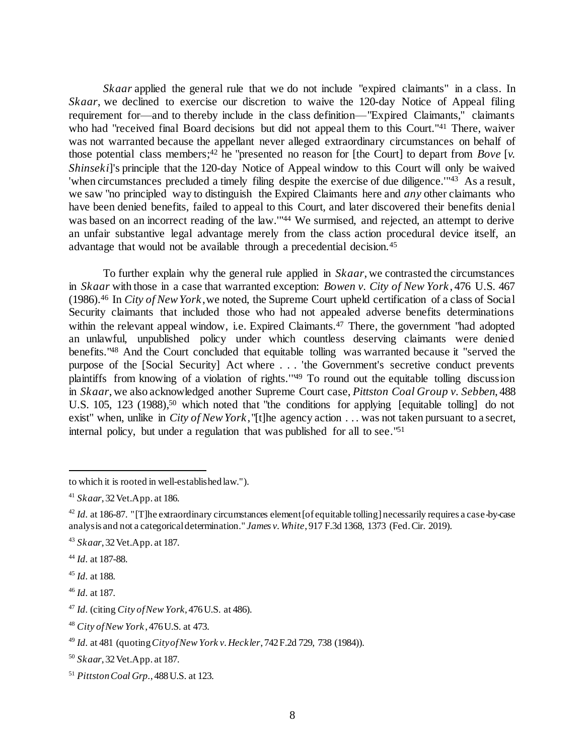*Skaar* applied the general rule that we do not include "expired claimants" in a class. In *Skaar*, we declined to exercise our discretion to waive the 120-day Notice of Appeal filing requirement for—and to thereby include in the class definition—"Expired Claimants," claimants who had "received final Board decisions but did not appeal them to this Court."<sup>41</sup> There, waiver was not warranted because the appellant never alleged extraordinary circumstances on behalf of those potential class members; <sup>42</sup> he "presented no reason for [the Court] to depart from *Bove* [*v. Shinseki*]'s principle that the 120-day Notice of Appeal window to this Court will only be waived 'when circumstances precluded a timely filing despite the exercise of due diligence.'"<sup>43</sup> As a result, we saw "no principled way to distinguish the Expired Claimants here and *any* other claimants who have been denied benefits, failed to appeal to this Court, and later discovered their benefits denial was based on an incorrect reading of the law."44 We surmised, and rejected, an attempt to derive an unfair substantive legal advantage merely from the class action procedural device itself, an advantage that would not be available through a precedential decision.<sup>45</sup>

To further explain why the general rule applied in *Skaar*, we contrasted the circumstances in *Skaar* with those in a case that warranted exception: *Bowen v. City of New York* , 476 U.S. 467 (1986). <sup>46</sup> In *City of New York*,we noted, the Supreme Court upheld certification of a class of Social Security claimants that included those who had not appealed adverse benefits determinations within the relevant appeal window, i.e. Expired Claimants.<sup>47</sup> There, the government "had adopted an unlawful, unpublished policy under which countless deserving claimants were denied benefits."<sup>48</sup> And the Court concluded that equitable tolling was warranted because it "served the purpose of the [Social Security] Act where . . . 'the Government's secretive conduct prevents plaintiffs from knowing of a violation of rights.'" <sup>49</sup> To round out the equitable tolling discussion in *Skaar*, we also acknowledged another Supreme Court case, *Pittston Coal Group v. Sebben*, 488 U.S. 105, 123 (1988), <sup>50</sup> which noted that "the conditions for applying [equitable tolling] do not exist" when, unlike in *City of New York*, "[t]he agency action . . . was not taken pursuant to a secret, internal policy, but under a regulation that was published for all to see."<sup>51</sup>

to which it is rooted in well-established law.").

<sup>41</sup> *Skaar*, 32 Vet.App. at 186.

<sup>&</sup>lt;sup>42</sup> *Id.* at 186-87. "[T]he extraordinary circumstances element [of equitable tolling] necessarily requires a case-by-case analysis and not a categorical determination." *James v. White*, 917 F.3d 1368, 1373 (Fed. Cir. 2019).

<sup>43</sup> *Skaar*, 32 Vet.App. at 187.

<sup>44</sup> *Id.* at 187-88.

<sup>45</sup> *Id.* at 188.

<sup>46</sup> *Id.* at 187.

<sup>47</sup> *Id.* (citing *City of New York*, 476 U.S. at 486).

<sup>48</sup> *City of New York* , 476 U.S. at 473.

<sup>49</sup> *Id.* at 481 (quoting*City of New York v. Heckler*, 742 F.2d 729, 738 (1984)).

<sup>50</sup> *Skaar*, 32 Vet.App. at 187.

<sup>51</sup> *Pittston Coal Grp.*, 488 U.S. at 123.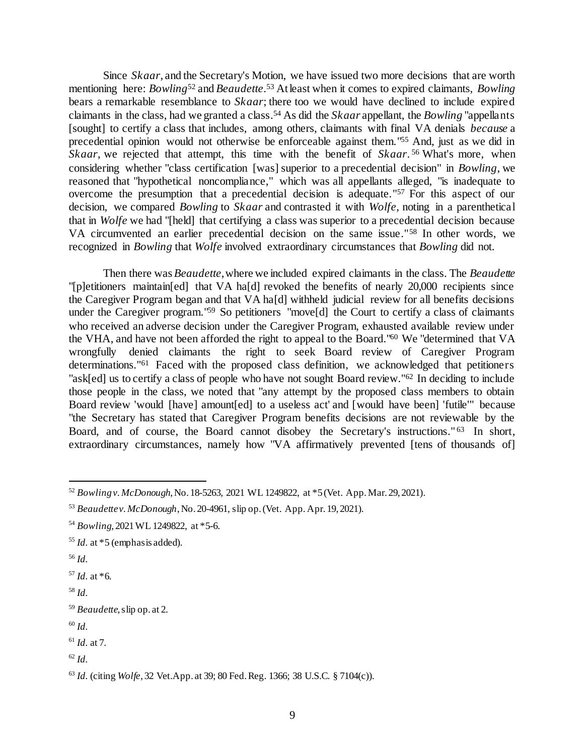Since *Skaar*, and the Secretary's Motion, we have issued two more decisions that are worth mentioning here: *Bowling*<sup>52</sup> and *Beaudette*. <sup>53</sup> At least when it comes to expired claimants, *Bowling* bears a remarkable resemblance to *Skaar*; there too we would have declined to include expired claimants in the class, had we granted a class. <sup>54</sup> As did the *Skaar* appellant, the *Bowling* "appellants [sought] to certify a class that includes, among others, claimants with final VA denials *because* a precedential opinion would not otherwise be enforceable against them."<sup>55</sup> And, just as we did in *Skaar*, we rejected that attempt, this time with the benefit of *Skaar*. <sup>56</sup> What's more, when considering whether "class certification [was] superior to a precedential decision" in *Bowling*, we reasoned that "hypothetical noncompliance," which was all appellants alleged, "is inadequate to overcome the presumption that a precedential decision is adequate." <sup>57</sup> For this aspect of our decision, we compared *Bowling* to *Skaar* and contrasted it with *Wolfe*, noting in a parenthetical that in *Wolfe* we had "[held] that certifying a class was superior to a precedential decision because VA circumvented an earlier precedential decision on the same issue."<sup>58</sup> In other words, we recognized in *Bowling* that *Wolfe* involved extraordinary circumstances that *Bowling* did not.

Then there was *Beaudette*, where we included expired claimants in the class. The *Beaudette* "[p]etitioners maintain[ed] that VA ha[d] revoked the benefits of nearly 20,000 recipients since the Caregiver Program began and that VA ha[d] withheld judicial review for all benefits decisions under the Caregiver program." <sup>59</sup> So petitioners "move[d] the Court to certify a class of claimants who received an adverse decision under the Caregiver Program, exhausted available review under the VHA, and have not been afforded the right to appeal to the Board."<sup>60</sup> We "determined that VA wrongfully denied claimants the right to seek Board review of Caregiver Program determinations."<sup>61</sup> Faced with the proposed class definition, we acknowledged that petitioners "ask[ed] us to certify a class of people who have not sought Board review."<sup>62</sup> In deciding to include those people in the class, we noted that "any attempt by the proposed class members to obtain Board review 'would [have] amount[ed] to a useless act' and [would have been] 'futile'" because "the Secretary has stated that Caregiver Program benefits decisions are not reviewable by the Board, and of course, the Board cannot disobey the Secretary's instructions." <sup>63</sup> In short, extraordinary circumstances, namely how "VA affirmatively prevented [tens of thousands of]

<sup>56</sup> *Id.*

l

 $57$  *Id.* at  $*6$ .

<sup>58</sup> *Id.*

<sup>52</sup> *Bowling v. McDonough*, No. 18-5263, 2021 WL 1249822, at \*5 (Vet. App. Mar. 29, 2021).

<sup>53</sup> *Beaudette v. McDonough*, No. 20-4961, slip op. (Vet. App. Apr. 19, 2021).

<sup>54</sup> *Bowling*, 2021 WL 1249822, at \*5-6.

<sup>55</sup> *Id.* at \*5 (emphasis added).

<sup>59</sup> *Beaudette*, slip op. at 2.

<sup>60</sup> *Id.*

<sup>61</sup> *Id.* at 7.

<sup>62</sup> *Id.*

<sup>63</sup> *Id.* (citing *Wolfe*, 32 Vet.App. at 39; 80 Fed. Reg. 1366; 38 U.S.C. § 7104(c)).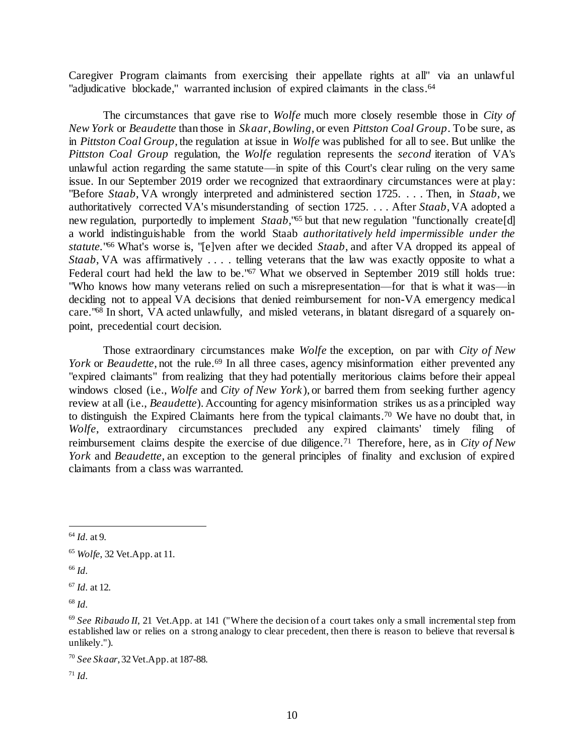Caregiver Program claimants from exercising their appellate rights at all" via an unlawful "adjudicative blockade," warranted inclusion of expired claimants in the class.<sup>64</sup>

The circumstances that gave rise to *Wolfe* much more closely resemble those in *City of New York* or *Beaudette* than those in *Skaar*, *Bowling*, or even *Pittston Coal Group*. To be sure, as in *Pittston Coal Group*, the regulation at issue in *Wolfe* was published for all to see. But unlike the *Pittston Coal Group* regulation, the *Wolfe* regulation represents the *second* iteration of VA's unlawful action regarding the same statute—in spite of this Court's clear ruling on the very same issue. In our September 2019 order we recognized that extraordinary circumstances were at play: "Before *Staab*, VA wrongly interpreted and administered section 1725. . . . Then, in *Staab*, we authoritatively corrected VA's misunderstanding of section 1725. . . . After *Staab*, VA adopted a new regulation, purportedly to implement *Staab*," <sup>65</sup> but that new regulation "functionally create[d] a world indistinguishable from the world Staab *authoritatively held impermissible under the statute.*" <sup>66</sup> What's worse is, "[e]ven after we decided *Staab*, and after VA dropped its appeal of *Staab*, VA was affirmatively .... telling veterans that the law was exactly opposite to what a Federal court had held the law to be."<sup>67</sup> What we observed in September 2019 still holds true: "Who knows how many veterans relied on such a misrepresentation—for that is what it was—in deciding not to appeal VA decisions that denied reimbursement for non-VA emergency medical care."<sup>68</sup> In short, VA acted unlawfully, and misled veterans, in blatant disregard of a squarely onpoint, precedential court decision.

Those extraordinary circumstances make *Wolfe* the exception, on par with *City of New York* or *Beaudette*, not the rule.<sup>69</sup> In all three cases, agency misinformation either prevented any "expired claimants" from realizing that they had potentially meritorious claims before their appeal windows closed (i.e., *Wolfe* and *City of New York*), or barred them from seeking further agency review at all (i.e., *Beaudette*). Accounting for agency misinformation strikes us as a principled way to distinguish the Expired Claimants here from the typical claimants. <sup>70</sup> We have no doubt that, in *Wolfe*, extraordinary circumstances precluded any expired claimants' timely filing of reimbursement claims despite the exercise of due diligence.<sup>71</sup> Therefore, here, as in *City of New York* and *Beaudette*, an exception to the general principles of finality and exclusion of expired claimants from a class was warranted.

l

<sup>68</sup> *Id.*

<sup>64</sup> *Id.* at 9.

<sup>65</sup> *Wolfe*, 32 Vet.App. at 11.

<sup>66</sup> *Id.*

<sup>67</sup> *Id.* at 12.

<sup>&</sup>lt;sup>69</sup> See Ribaudo II, 21 Vet.App. at 141 ("Where the decision of a court takes only a small incremental step from established law or relies on a strong analogy to clear precedent, then there is reason to believe that reversal is unlikely.").

<sup>70</sup> *See Skaar*, 32 Vet.App. at 187-88.

 $^{71}$  *Id.*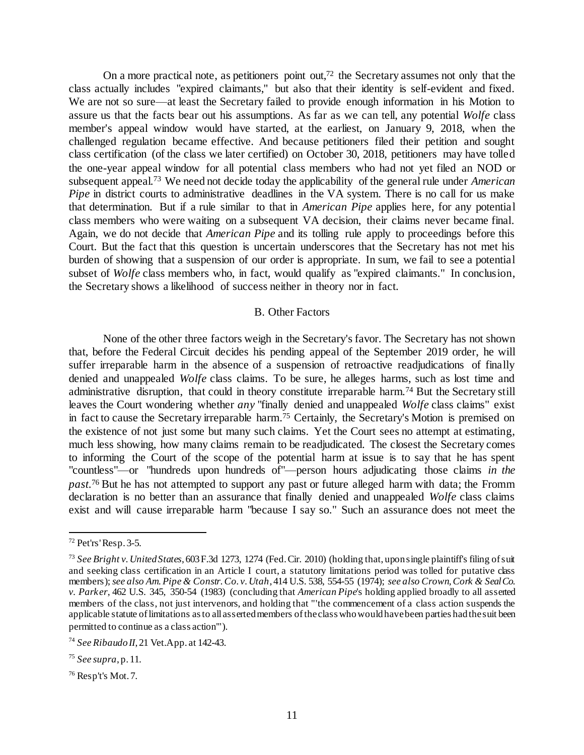On a more practical note, as petitioners point out,<sup>72</sup> the Secretary assumes not only that the class actually includes "expired claimants," but also that their identity is self-evident and fixed. We are not so sure—at least the Secretary failed to provide enough information in his Motion to assure us that the facts bear out his assumptions. As far as we can tell, any potential *Wolfe* class member's appeal window would have started, at the earliest, on January 9, 2018, when the challenged regulation became effective. And because petitioners filed their petition and sought class certification (of the class we later certified) on October 30, 2018, petitioners may have tolled the one-year appeal window for all potential class members who had not yet filed an NOD or subsequent appeal. <sup>73</sup> We need not decide today the applicability of the general rule under *American Pipe* in district courts to administrative deadlines in the VA system. There is no call for us make that determination. But if a rule similar to that in *American Pipe* applies here, for any potential class members who were waiting on a subsequent VA decision, their claims never became final. Again, we do not decide that *American Pipe* and its tolling rule apply to proceedings before this Court. But the fact that this question is uncertain underscores that the Secretary has not met his burden of showing that a suspension of our order is appropriate. In sum, we fail to see a potential subset of *Wolfe* class members who, in fact, would qualify as "expired claimants." In conclusion, the Secretary shows a likelihood of success neither in theory nor in fact.

#### B. Other Factors

None of the other three factors weigh in the Secretary's favor. The Secretary has not shown that, before the Federal Circuit decides his pending appeal of the September 2019 order, he will suffer irreparable harm in the absence of a suspension of retroactive readjudications of finally denied and unappealed *Wolfe* class claims. To be sure, he alleges harms, such as lost time and administrative disruption, that could in theory constitute irreparable harm.<sup>74</sup> But the Secretary still leaves the Court wondering whether *any* "finally denied and unappealed *Wolfe* class claims" exist in fact to cause the Secretary irreparable harm. <sup>75</sup> Certainly, the Secretary's Motion is premised on the existence of not just some but many such claims. Yet the Court sees no attempt at estimating, much less showing, how many claims remain to be readjudicated. The closest the Secretary comes to informing the Court of the scope of the potential harm at issue is to say that he has spent "countless"—or "hundreds upon hundreds of"—person hours adjudicating those claims *in the past*. <sup>76</sup> But he has not attempted to support any past or future alleged harm with data; the Fromm declaration is no better than an assurance that finally denied and unappealed *Wolfe* class claims exist and will cause irreparable harm "because I say so." Such an assurance does not meet the

 $72$  Pet'rs' Resp. 3-5.

<sup>73</sup> *See Bright v. United States*, 603 F.3d 1273, 1274 (Fed. Cir. 2010) (holding that, upon single plaintiff's filing of suit and seeking class certification in an Article I court, a statutory limitations period was tolled for putative class members); *see also Am. Pipe & Constr. Co. v. Utah*, 414 U.S. 538, 554-55 (1974); *see also Crown, Cork & Seal Co. v. Parker*, 462 U.S. 345, 350-54 (1983) (concluding that *American Pipe*'s holding applied broadly to all asserted members of the class, not just intervenors, and holding that "'the commencement of a class action suspends the applicable statute of limitations as to all asserted members of the class who would have been parties had the suit been permitted to continue as a class action'").

<sup>74</sup> *See Ribaudo II*, 21 Vet.App. at 142-43.

<sup>75</sup> *See supra*, p. 11.

 $76$  Resp't's Mot. 7.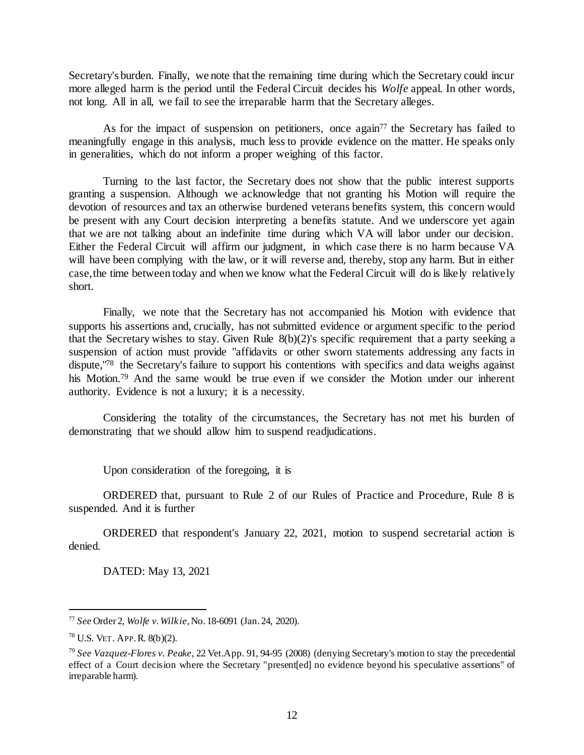Secretary's burden. Finally, we note that the remaining time during which the Secretary could incur more alleged harm is the period until the Federal Circuit decides his *Wolfe* appeal. In other words, not long. All in all, we fail to see the irreparable harm that the Secretary alleges.

As for the impact of suspension on petitioners, once again<sup>77</sup> the Secretary has failed to meaningfully engage in this analysis, much less to provide evidence on the matter. He speaks only in generalities, which do not inform a proper weighing of this factor.

Turning to the last factor, the Secretary does not show that the public interest supports granting a suspension. Although we acknowledge that not granting his Motion will require the devotion of resources and tax an otherwise burdened veterans benefits system, this concern would be present with any Court decision interpreting a benefits statute. And we underscore yet again that we are not talking about an indefinite time during which VA will labor under our decision. Either the Federal Circuit will affirm our judgment, in which case there is no harm because VA will have been complying with the law, or it will reverse and, thereby, stop any harm. But in either case, the time between today and when we know what the Federal Circuit will do is likely relatively short.

Finally, we note that the Secretary has not accompanied his Motion with evidence that supports his assertions and, crucially, has not submitted evidence or argument specific to the period that the Secretary wishes to stay. Given Rule 8(b)(2)'s specific requirement that a party seeking a suspension of action must provide "affidavits or other sworn statements addressing any facts in dispute,"<sup>78</sup> the Secretary's failure to support his contentions with specifics and data weighs against his Motion. <sup>79</sup> And the same would be true even if we consider the Motion under our inherent authority. Evidence is not a luxury; it is a necessity.

Considering the totality of the circumstances, the Secretary has not met his burden of demonstrating that we should allow him to suspend readjudications.

Upon consideration of the foregoing, it is

ORDERED that, pursuant to Rule 2 of our Rules of Practice and Procedure, Rule 8 is suspended. And it is further

ORDERED that respondent's January 22, 2021, motion to suspend secretarial action is denied.

DATED: May 13, 2021

<sup>77</sup> *See* Order 2, *Wolfe v. Wilkie*, No. 18-6091 (Jan. 24, 2020).

<sup>78</sup> U.S. VET. APP.R. 8(b)(2).

<sup>79</sup> *See Vazquez-Flores v. Peake*, 22 Vet.App. 91, 94-95 (2008) (denying Secretary's motion to stay the precedential effect of a Court decision where the Secretary "present[ed] no evidence beyond his speculative assertions" of irreparable harm).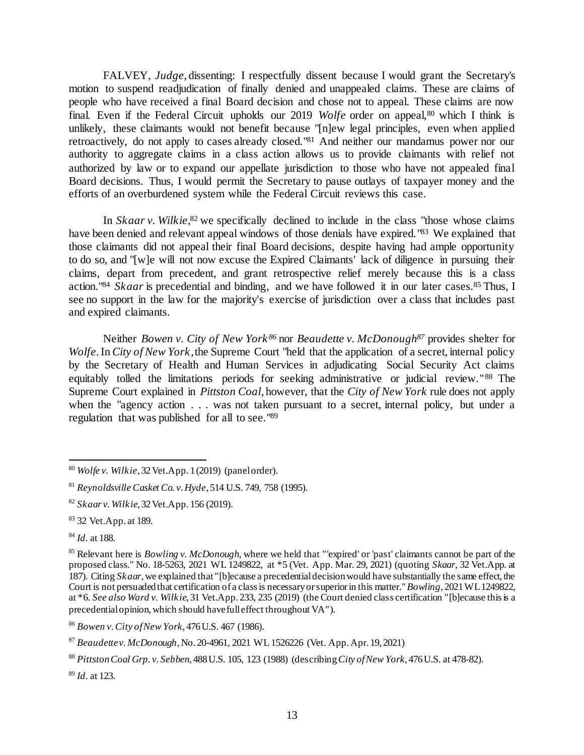FALVEY, *Judge*, dissenting: I respectfully dissent because I would grant the Secretary's motion to suspend readjudication of finally denied and unappealed claims. These are claims of people who have received a final Board decision and chose not to appeal. These claims are now final. Even if the Federal Circuit upholds our 2019 *Wolfe* order on appeal, <sup>80</sup> which I think is unlikely, these claimants would not benefit because "[n]ew legal principles, even when applied retroactively, do not apply to cases already closed." <sup>81</sup> And neither our mandamus power nor our authority to aggregate claims in a class action allows us to provide claimants with relief not authorized by law or to expand our appellate jurisdiction to those who have not appealed final Board decisions. Thus, I would permit the Secretary to pause outlays of taxpayer money and the efforts of an overburdened system while the Federal Circuit reviews this case.

In *Skaar v. Wilkie*,<sup>82</sup> we specifically declined to include in the class "those whose claims have been denied and relevant appeal windows of those denials have expired. "83 We explained that those claimants did not appeal their final Board decisions, despite having had ample opportunity to do so, and "[w]e will not now excuse the Expired Claimants' lack of diligence in pursuing their claims, depart from precedent, and grant retrospective relief merely because this is a class action." <sup>84</sup> *Skaar* is precedential and binding, and we have followed it in our later cases.<sup>85</sup> Thus, I see no support in the law for the majority's exercise of jurisdiction over a class that includes past and expired claimants.

Neither *Bowen v. City of New York <sup>86</sup>* nor *Beaudette v. McDonough<sup>87</sup>* provides shelter for *Wolfe*. In *City of New York*, the Supreme Court "held that the application of a secret, internal policy by the Secretary of Health and Human Services in adjudicating Social Security Act claims equitably tolled the limitations periods for seeking administrative or judicial review."<sup>88</sup> The Supreme Court explained in *Pittston Coal*, however, that the *City of New York* rule does not apply when the "agency action . . . was not taken pursuant to a secret, internal policy, but under a regulation that was published for all to see."<sup>89</sup>

<sup>80</sup> *Wolfe v. Wilkie*, 32 Vet.App. 1 (2019) (panel order).

<sup>81</sup> *Reynoldsville Casket Co. v. Hyde*, 514 U.S. 749, 758 (1995).

<sup>82</sup> *Skaar v. Wilkie*, 32 Vet.App. 156 (2019).

<sup>83</sup> 32 Vet.App. at 189.

<sup>84</sup> *Id*. at 188.

<sup>85</sup> Relevant here is *Bowling v. McDonough*, where we held that "'expired' or 'past' claimants cannot be part of the proposed class." No. 18-5263, 2021 WL 1249822, at \*5 (Vet. App. Mar. 29, 2021) (quoting *Skaar*, 32 Vet.App. at 187). Citing *Skaar*, we explained that "[b]ecause a precedential decision would have substantially the same effect, the Court is not persuaded that certification of a class is necessary or superior in this matter."*Bowling*, 2021 WL 1249822, at \*6. *See also Ward v. Wilkie*, 31 Vet.App. 233, 235 (2019) (the Court denied class certification "[b]ecause this is a precedential opinion, which should have full effect throughout VA").

<sup>86</sup> *Bowen v. City of New York*, 476 U.S. 467 (1986).

<sup>87</sup> *Beaudette v. McDonough*, No. 20-4961, 2021 WL 1526226 (Vet. App. Apr. 19, 2021)

<sup>88</sup> *Pittston Coal Grp. v. Sebben*, 488 U.S. 105, 123 (1988) (describing *City of New York*, 476 U.S. at 478-82).

<sup>89</sup> *Id*. at 123.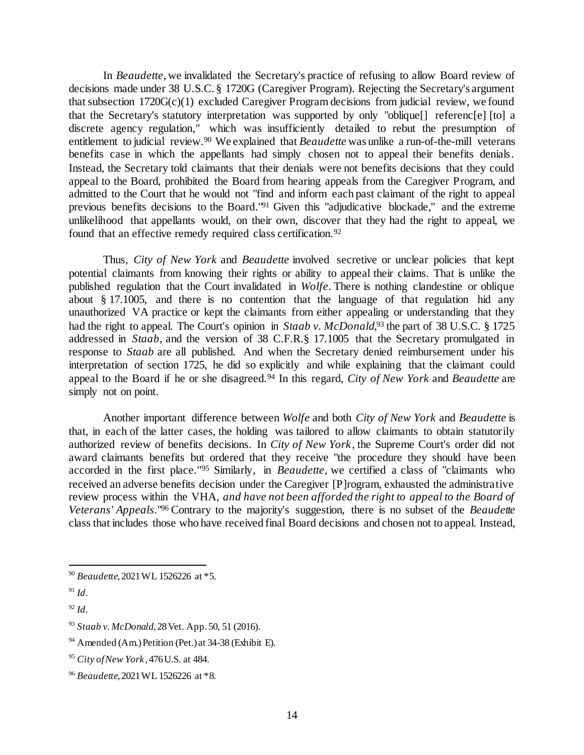In *Beaudette*, we invalidated the Secretary's practice of refusing to allow Board review of decisions made under 38 U.S.C. § 1720G (Caregiver Program). Rejecting the Secretary's argument that subsection  $1720G(c)(1)$  excluded Caregiver Program decisions from judicial review, we found that the Secretary's statutory interpretation was supported by only "oblique[] referenc[e] [to] a discrete agency regulation," which was insufficiently detailed to rebut the presumption of entitlement to judicial review.<sup>90</sup> We explained that *Beaudette* was unlike a run-of-the-mill veterans benefits case in which the appellants had simply chosen not to appeal their benefits denials. Instead, the Secretary told claimants that their denials were not benefits decisions that they could appeal to the Board, prohibited the Board from hearing appeals from the Caregiver Program, and admitted to the Court that he would not "find and inform each past claimant of the right to appeal previous benefits decisions to the Board.<sup>"91</sup> Given this "adjudicative blockade," and the extreme unlikelihood that appellants would, on their own, discover that they had the right to appeal, we found that an effective remedy required class certification.<sup>92</sup>

Thus, *City of New York* and *Beaudette* involved secretive or unclear policies that kept potential claimants from knowing their rights or ability to appeal their claims. That is unlike the published regulation that the Court invalidated in *Wolfe*. There is nothing clandestine or oblique about § 17.1005, and there is no contention that the language of that regulation hid any unauthorized VA practice or kept the claimants from either appealing or understanding that they had the right to appeal. The Court's opinion in *Staab v. McDonald*, <sup>93</sup> the part of 38 U.S.C. § 1725 addressed in *Staab*, and the version of 38 C.F.R.§ 17.1005 that the Secretary promulgated in response to *Staab* are all published. And when the Secretary denied reimbursement under his interpretation of section 1725, he did so explicitly and while explaining that the claimant could appeal to the Board if he or she disagreed.<sup>94</sup> In this regard, *City of New York* and *Beaudette* are simply not on point.

Another important difference between *Wolfe* and both *City of New York* and *Beaudette* is that, in each of the latter cases, the holding was tailored to allow claimants to obtain statutorily authorized review of benefits decisions. In *City of New York*, the Supreme Court's order did not award claimants benefits but ordered that they receive "the procedure they should have been accorded in the first place." <sup>95</sup> Similarly, in *Beaudette*, we certified a class of "claimants who received an adverse benefits decision under the Caregiver [P]rogram, exhausted the administrative review process within the VHA, *and have not been afforded the right to appeal to the Board of Veterans' Appeals*." <sup>96</sup> Contrary to the majority's suggestion, there is no subset of the *Beaudette* class that includes those who have received final Board decisions and chosen not to appeal. Instead,

<sup>90</sup> *Beaudette*, 2021 WL 1526226 at \*5.

 $91$  *Id*.

<sup>92</sup> *Id*.

<sup>93</sup> *Staab v. McDonald*, 28 Vet. App. 50, 51 (2016).

 $94$  Amended (Am.) Petition (Pet.) at 34-38 (Exhibit E).

<sup>95</sup> *City of New York* , 476U.S. at 484.

<sup>96</sup> *Beaudette*, 2021 WL 1526226 at \*8.